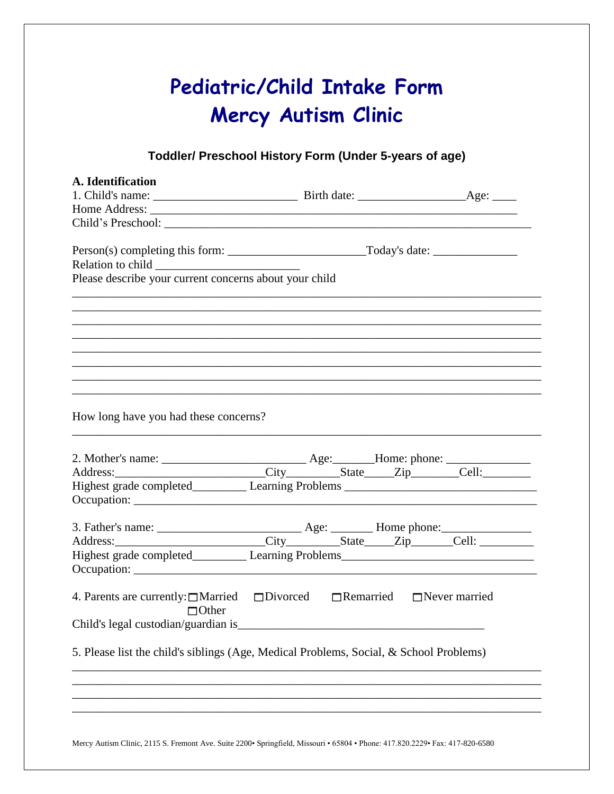|                                                        | Toddler/ Preschool History Form (Under 5-years of age)                                         |
|--------------------------------------------------------|------------------------------------------------------------------------------------------------|
| A. Identification                                      |                                                                                                |
| Please describe your current concerns about your child | ,我们也不能在这里的时候,我们也不能在这里的时候,我们也不能会在这里的时候,我们也不能会在这里的时候,我们也不能会在这里的时候,我们也不能会在这里的时候,我们也不              |
|                                                        |                                                                                                |
|                                                        |                                                                                                |
|                                                        |                                                                                                |
|                                                        |                                                                                                |
|                                                        |                                                                                                |
| How long have you had these concerns?                  |                                                                                                |
|                                                        | Address: City State Zip Cell:                                                                  |
|                                                        | Highest grade completed_____________ Learning Problems __________________________              |
|                                                        |                                                                                                |
|                                                        |                                                                                                |
|                                                        | Highest grade completed_____________ Learning Problems___________________________              |
|                                                        | 4. Parents are currently: $\Box$ Married $\Box$ Divorced $\Box$ Remarried $\Box$ Never married |
| $\Box$ Other                                           |                                                                                                |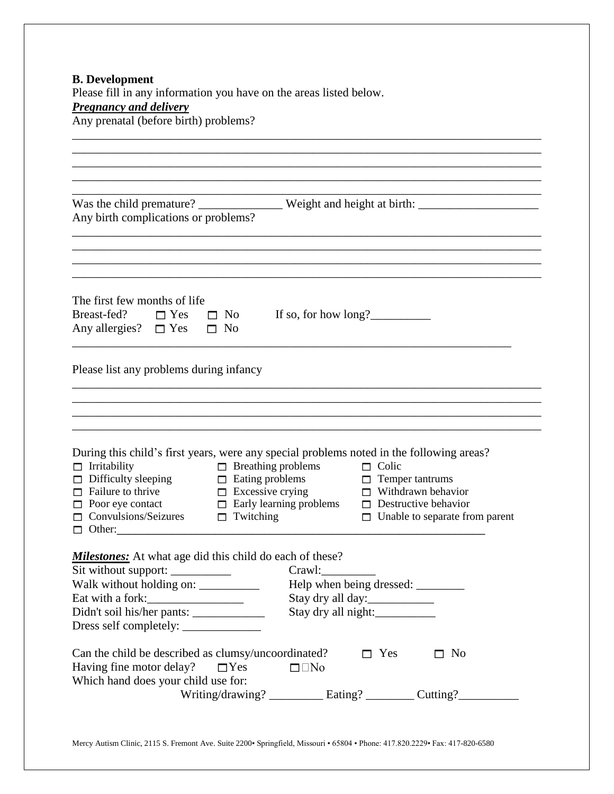| Was the child premature? _______________ Weight and height at birth: _______________________________<br>Any birth complications or problems?                                                                                                                                                                                                                                                                             |
|--------------------------------------------------------------------------------------------------------------------------------------------------------------------------------------------------------------------------------------------------------------------------------------------------------------------------------------------------------------------------------------------------------------------------|
| The first few months of life<br>Breast-fed? $\square$ Yes $\square$ No<br>If so, for how $long?$<br>Any allergies? $\square$ Yes $\square$ No                                                                                                                                                                                                                                                                            |
| Please list any problems during infancy                                                                                                                                                                                                                                                                                                                                                                                  |
| During this child's first years, were any special problems noted in the following areas?                                                                                                                                                                                                                                                                                                                                 |
| $\Box$ Breathing problems $\Box$ Colic<br>$\Box$ Irritability<br>$\Box$ Difficulty sleeping<br>$\Box$ Eating problems $\Box$ Temper tantrums<br>$\Box$ Failure to thrive<br>$\Box$ Excessive crying<br>$\Box$ Withdrawn behavior<br>$\Box$ Early learning problems<br>$\Box$ Destructive behavior<br>$\Box$ Poor eye contact<br>$\Box$ Convulsions/Seizures<br>$\Box$ Twitching<br>$\Box$ Unable to separate from parent |
| <b>Milestones:</b> At what age did this child do each of these?<br>Sit without support: ___________<br>Crawl:<br>Walk without holding on: ___________<br>Eat with a fork:<br>Stay dry all day:<br>Stay dry all night:                                                                                                                                                                                                    |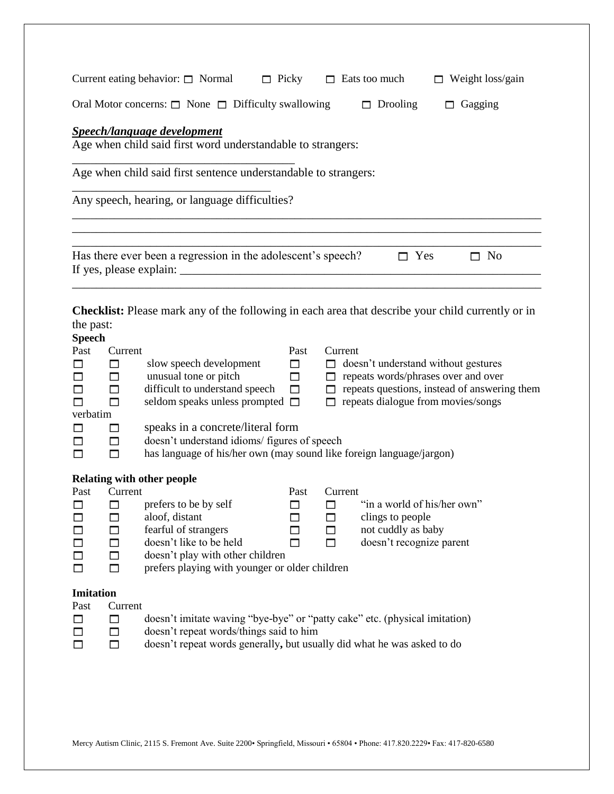|                                                                                                                                                                                                                                                                               | Current eating behavior: $\Box$ Normal<br>$\Box$ Picky                                                                                                                                                             |                               |                   | $\Box$ Eats too much                                                                              | $\Box$ Weight loss/gain                                                                                                                         |  |  |
|-------------------------------------------------------------------------------------------------------------------------------------------------------------------------------------------------------------------------------------------------------------------------------|--------------------------------------------------------------------------------------------------------------------------------------------------------------------------------------------------------------------|-------------------------------|-------------------|---------------------------------------------------------------------------------------------------|-------------------------------------------------------------------------------------------------------------------------------------------------|--|--|
| Oral Motor concerns: $\Box$ None $\Box$ Difficulty swallowing<br>$\Box$ Drooling<br>Gagging<br>П.                                                                                                                                                                             |                                                                                                                                                                                                                    |                               |                   |                                                                                                   |                                                                                                                                                 |  |  |
| <b>Speech/language development</b><br>Age when child said first word understandable to strangers:                                                                                                                                                                             |                                                                                                                                                                                                                    |                               |                   |                                                                                                   |                                                                                                                                                 |  |  |
| Age when child said first sentence understandable to strangers:                                                                                                                                                                                                               |                                                                                                                                                                                                                    |                               |                   |                                                                                                   |                                                                                                                                                 |  |  |
|                                                                                                                                                                                                                                                                               | Any speech, hearing, or language difficulties?                                                                                                                                                                     |                               |                   |                                                                                                   |                                                                                                                                                 |  |  |
|                                                                                                                                                                                                                                                                               |                                                                                                                                                                                                                    |                               |                   |                                                                                                   |                                                                                                                                                 |  |  |
|                                                                                                                                                                                                                                                                               | Has there ever been a regression in the adolescent's speech?<br>If yes, please explain: $\sqrt{ }$                                                                                                                 |                               |                   | $\Box$ Yes                                                                                        | $\Box$ No                                                                                                                                       |  |  |
| the past:<br><b>Speech</b>                                                                                                                                                                                                                                                    | <b>Checklist:</b> Please mark any of the following in each area that describe your child currently or in                                                                                                           |                               |                   |                                                                                                   |                                                                                                                                                 |  |  |
| Current<br>Past<br>$\Box$<br>□<br>$\Box$<br>⊓<br>$\Box$<br>⊓<br>п<br>verbatim<br>□<br>П<br>П<br>□                                                                                                                                                                             | slow speech development<br>unusual tone or pitch<br>difficult to understand speech<br>seldom speaks unless prompted $\square$<br>speaks in a concrete/literal form<br>doesn't understand idioms/ figures of speech | Past<br>□<br>$\Box$<br>$\Box$ | Current           | $\Box$ repeats dialogue from movies/songs                                                         | $\Box$ doesn't understand without gestures<br>$\Box$ repeats words/phrases over and over<br>$\Box$ repeats questions, instead of answering them |  |  |
| has language of his/her own (may sound like foreign language/jargon)<br>$\Box$                                                                                                                                                                                                |                                                                                                                                                                                                                    |                               |                   |                                                                                                   |                                                                                                                                                 |  |  |
| <b>Relating with other people</b><br>Past<br>Current<br>$\mathsf{L}$<br>H<br>$\Box$<br>П<br>П<br>П<br>$\Box$<br>$\Box$<br>$\Box$<br>□                                                                                                                                         | prefers to be by self<br>aloof, distant<br>fearful of strangers<br>doesn't like to be held<br>doesn't play with other children<br>prefers playing with younger or older children                                   | Past<br>$\Box$<br>٦           | Current<br>П<br>П | "in a world of his/her own"<br>clings to people<br>not cuddly as baby<br>doesn't recognize parent |                                                                                                                                                 |  |  |
| Imitation<br>Past<br>Current<br>doesn't imitate waving "bye-bye" or "patty cake" etc. (physical imitation)<br>$\Box$<br>□<br>doesn't repeat words/things said to him<br>□<br>П<br>$\Box$<br>$\Box$<br>doesn't repeat words generally, but usually did what he was asked to do |                                                                                                                                                                                                                    |                               |                   |                                                                                                   |                                                                                                                                                 |  |  |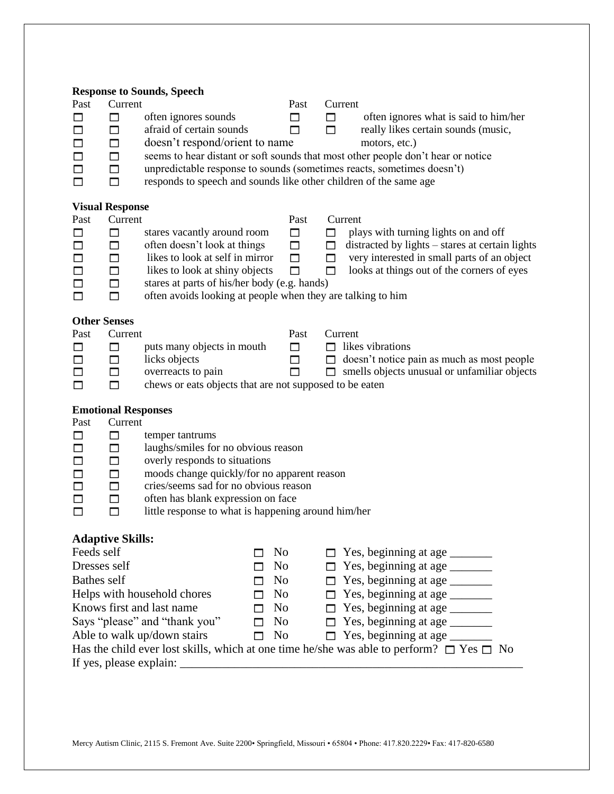| Past<br>□<br>□<br>□<br>□<br>$\Box$<br>□                          | Current<br>$\Box$<br>$\Box$<br>$\Box$<br>$\Box$<br>$\Box$<br>$\Box$                               | <b>Response to Sounds, Speech</b><br>often ignores sounds<br>afraid of certain sounds<br>doesn't respond/orient to name<br>responds to speech and sounds like other children of the same age                                                                                 |                            | Past<br>□<br>П                                                                         | Current<br>$\Box$<br>$\Box$  | often ignores what is said to him/her<br>really likes certain sounds (music,<br>motors, etc.)<br>seems to hear distant or soft sounds that most other people don't hear or notice<br>unpredictable response to sounds (sometimes reacts, sometimes doesn't) |
|------------------------------------------------------------------|---------------------------------------------------------------------------------------------------|------------------------------------------------------------------------------------------------------------------------------------------------------------------------------------------------------------------------------------------------------------------------------|----------------------------|----------------------------------------------------------------------------------------|------------------------------|-------------------------------------------------------------------------------------------------------------------------------------------------------------------------------------------------------------------------------------------------------------|
| Past<br>$\Box$<br>$\Box$<br>$\Box$                               | <b>Visual Response</b><br>Current<br>$\Box$<br>$\Box$<br>$\Box$                                   | stares vacantly around room<br>often doesn't look at things<br>likes to look at self in mirror                                                                                                                                                                               |                            | Past<br>□<br>□<br>□                                                                    | Current<br>□<br>□<br>$\Box$  | plays with turning lights on and off<br>distracted by lights – stares at certain lights<br>very interested in small parts of an object                                                                                                                      |
| □<br>$\Box$<br>П                                                 | $\Box$<br>$\Box$<br>$\Box$                                                                        | likes to look at shiny objects<br>stares at parts of his/her body (e.g. hands)<br>often avoids looking at people when they are talking to him                                                                                                                                |                            | $\Box$                                                                                 | $\Box$                       | looks at things out of the corners of eyes                                                                                                                                                                                                                  |
| Past<br>□<br>$\Box$<br>□<br>□                                    | <b>Other Senses</b><br>Current<br>$\Box$<br>$\Box$<br>$\Box$<br>$\Box$                            | puts many objects in mouth<br>licks objects<br>overreacts to pain<br>chews or eats objects that are not supposed to be eaten                                                                                                                                                 |                            | Past<br>□<br>□<br>П                                                                    | Current<br>П<br>$\Box$<br>П. | likes vibrations<br>doesn't notice pain as much as most people<br>smells objects unusual or unfamiliar objects                                                                                                                                              |
| Past<br>□<br>$\Box$<br>$\Box$<br>$\Box$<br>$\Box$<br>$\Box$<br>П | <b>Emotional Responses</b><br>Current<br>□<br>□<br>$\Box$<br>$\Box$<br>$\Box$<br>$\Box$<br>$\Box$ | temper tantrums<br>laughs/smiles for no obvious reason<br>overly responds to situations<br>moods change quickly/for no apparent reason<br>cries/seems sad for no obvious reason<br>often has blank expression on face<br>little response to what is happening around him/her |                            |                                                                                        |                              |                                                                                                                                                                                                                                                             |
| Feeds self<br>Dresses self<br><b>Bathes self</b>                 | <b>Adaptive Skills:</b>                                                                           | Helps with household chores<br>Knows first and last name<br>Says "please" and "thank you"<br>Able to walk up/down stairs                                                                                                                                                     | П<br>П<br>п<br>П<br>п<br>П | No<br>No<br>No<br>N <sub>0</sub><br>N <sub>0</sub><br>N <sub>0</sub><br>N <sub>0</sub> | П<br>П<br>П<br>П             | Yes, beginning at age<br>Yes, beginning at age<br>Has the child ever lost skills, which at one time he/she was able to perform? $\square$ Yes $\square$ No                                                                                                  |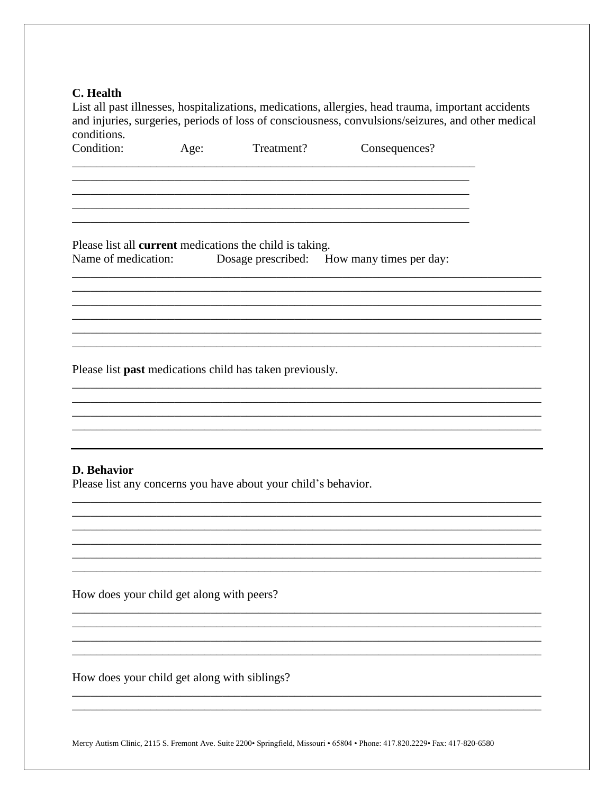#### C. Health

List all past illnesses, hospitalizations, medications, allergies, head trauma, important accidents and injuries, surgeries, periods of loss of consciousness, convulsions/seizures, and other medical conditions.

Condition: Treatment? Consequences? Age:

Please list all **current** medications the child is taking. Name of medication: Dosage prescribed: How many times per day:

Please list past medications child has taken previously.

### D. Behavior

Please list any concerns you have about your child's behavior.

How does your child get along with peers?

How does your child get along with siblings?

Mercy Autism Clinic, 2115 S. Fremont Ave. Suite 2200• Springfield, Missouri • 65804 • Phone: 417.820.2229• Fax: 417-820-6580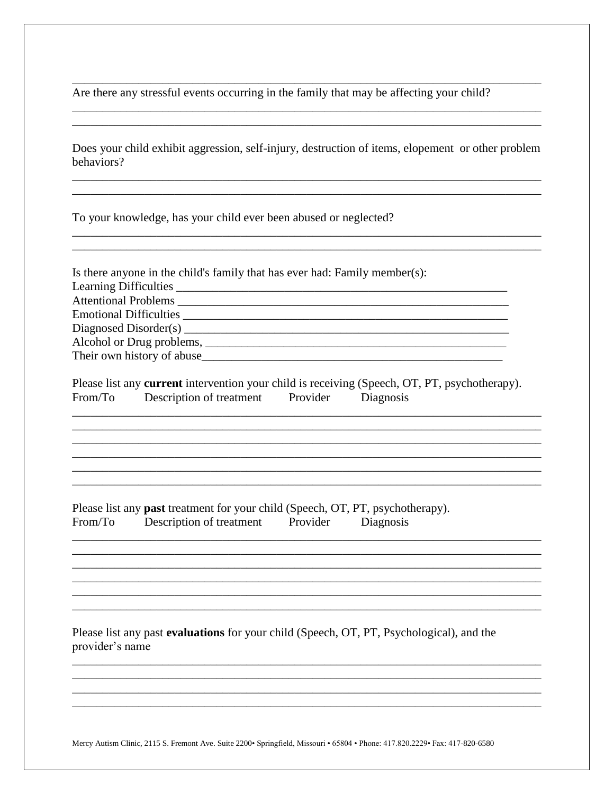Are there any stressful events occurring in the family that may be affecting your child?

Does your child exhibit aggression, self-injury, destruction of items, elopement or other problem behaviors?

To your knowledge, has your child ever been abused or neglected?

| Is there anyone in the child's family that has ever had: Family member(s): |
|----------------------------------------------------------------------------|
|                                                                            |
|                                                                            |
|                                                                            |
|                                                                            |
|                                                                            |
| Their own history of abuse                                                 |

|         | Please list any <b>current</b> intervention your child is receiving (Speech, OT, PT, psychotherapy). |          |           |  |
|---------|------------------------------------------------------------------------------------------------------|----------|-----------|--|
| From/To | Description of treatment                                                                             | Provider | Diagnosis |  |

Please list any **past** treatment for your child (Speech, OT, PT, psychotherapy). Description of treatment  $From/To$ Provider Diagnosis

Please list any past evaluations for your child (Speech, OT, PT, Psychological), and the provider's name

Mercy Autism Clinic, 2115 S. Fremont Ave. Suite 2200 · Springfield, Missouri · 65804 · Phone: 417.820.2229 · Fax: 417-820-6580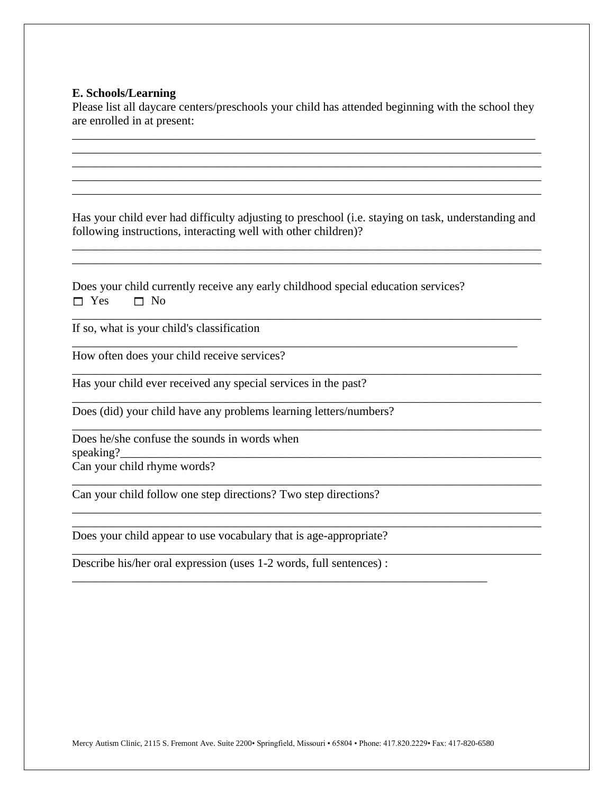### **E. Schools/Learning**

Please list all daycare centers/preschools your child has attended beginning with the school they are enrolled in at present:

\_\_\_\_\_\_\_\_\_\_\_\_\_\_\_\_\_\_\_\_\_\_\_\_\_\_\_\_\_\_\_\_\_\_\_\_\_\_\_\_\_\_\_\_\_\_\_\_\_\_\_\_\_\_\_\_\_\_\_\_\_\_\_\_\_\_\_\_\_\_\_\_\_\_\_\_\_ \_\_\_\_\_\_\_\_\_\_\_\_\_\_\_\_\_\_\_\_\_\_\_\_\_\_\_\_\_\_\_\_\_\_\_\_\_\_\_\_\_\_\_\_\_\_\_\_\_\_\_\_\_\_\_\_\_\_\_\_\_\_\_\_\_\_\_\_\_\_\_\_\_\_\_\_\_\_ \_\_\_\_\_\_\_\_\_\_\_\_\_\_\_\_\_\_\_\_\_\_\_\_\_\_\_\_\_\_\_\_\_\_\_\_\_\_\_\_\_\_\_\_\_\_\_\_\_\_\_\_\_\_\_\_\_\_\_\_\_\_\_\_\_\_\_\_\_\_\_\_\_\_\_\_\_\_ \_\_\_\_\_\_\_\_\_\_\_\_\_\_\_\_\_\_\_\_\_\_\_\_\_\_\_\_\_\_\_\_\_\_\_\_\_\_\_\_\_\_\_\_\_\_\_\_\_\_\_\_\_\_\_\_\_\_\_\_\_\_\_\_\_\_\_\_\_\_\_\_\_\_\_\_\_\_ \_\_\_\_\_\_\_\_\_\_\_\_\_\_\_\_\_\_\_\_\_\_\_\_\_\_\_\_\_\_\_\_\_\_\_\_\_\_\_\_\_\_\_\_\_\_\_\_\_\_\_\_\_\_\_\_\_\_\_\_\_\_\_\_\_\_\_\_\_\_\_\_\_\_\_\_\_\_

Has your child ever had difficulty adjusting to preschool (i.e. staying on task, understanding and following instructions, interacting well with other children)?

\_\_\_\_\_\_\_\_\_\_\_\_\_\_\_\_\_\_\_\_\_\_\_\_\_\_\_\_\_\_\_\_\_\_\_\_\_\_\_\_\_\_\_\_\_\_\_\_\_\_\_\_\_\_\_\_\_\_\_\_\_\_\_\_\_\_\_\_\_\_\_\_\_\_\_\_\_\_ \_\_\_\_\_\_\_\_\_\_\_\_\_\_\_\_\_\_\_\_\_\_\_\_\_\_\_\_\_\_\_\_\_\_\_\_\_\_\_\_\_\_\_\_\_\_\_\_\_\_\_\_\_\_\_\_\_\_\_\_\_\_\_\_\_\_\_\_\_\_\_\_\_\_\_\_\_\_

\_\_\_\_\_\_\_\_\_\_\_\_\_\_\_\_\_\_\_\_\_\_\_\_\_\_\_\_\_\_\_\_\_\_\_\_\_\_\_\_\_\_\_\_\_\_\_\_\_\_\_\_\_\_\_\_\_\_\_\_\_\_\_\_\_\_\_\_\_\_\_\_\_\_\_\_\_\_

\_\_\_\_\_\_\_\_\_\_\_\_\_\_\_\_\_\_\_\_\_\_\_\_\_\_\_\_\_\_\_\_\_\_\_\_\_\_\_\_\_\_\_\_\_\_\_\_\_\_\_\_\_\_\_\_\_\_\_\_\_\_\_\_\_\_\_\_\_\_\_\_\_\_\_\_\_\_

\_\_\_\_\_\_\_\_\_\_\_\_\_\_\_\_\_\_\_\_\_\_\_\_\_\_\_\_\_\_\_\_\_\_\_\_\_\_\_\_\_\_\_\_\_\_\_\_\_\_\_\_\_\_\_\_\_\_\_\_\_\_\_\_\_\_\_\_\_\_\_\_\_\_\_\_\_\_

\_\_\_\_\_\_\_\_\_\_\_\_\_\_\_\_\_\_\_\_\_\_\_\_\_\_\_\_\_\_\_\_\_\_\_\_\_\_\_\_\_\_\_\_\_\_\_\_\_\_\_\_\_\_\_\_\_\_\_\_\_\_\_\_\_\_\_\_\_\_\_\_\_\_\_\_\_\_

\_\_\_\_\_\_\_\_\_\_\_\_\_\_\_\_\_\_\_\_\_\_\_\_\_\_\_\_\_\_\_\_\_\_\_\_\_\_\_\_\_\_\_\_\_\_\_\_\_\_\_\_\_\_\_\_\_\_\_\_\_\_\_\_\_\_\_\_\_\_\_\_\_\_\_\_\_\_

\_\_\_\_\_\_\_\_\_\_\_\_\_\_\_\_\_\_\_\_\_\_\_\_\_\_\_\_\_\_\_\_\_\_\_\_\_\_\_\_\_\_\_\_\_\_\_\_\_\_\_\_\_\_\_\_\_\_\_\_\_\_\_\_\_\_\_\_\_\_\_\_\_\_\_\_\_\_ \_\_\_\_\_\_\_\_\_\_\_\_\_\_\_\_\_\_\_\_\_\_\_\_\_\_\_\_\_\_\_\_\_\_\_\_\_\_\_\_\_\_\_\_\_\_\_\_\_\_\_\_\_\_\_\_\_\_\_\_\_\_\_\_\_\_\_\_\_\_\_\_\_\_\_\_\_\_

\_\_\_\_\_\_\_\_\_\_\_\_\_\_\_\_\_\_\_\_\_\_\_\_\_\_\_\_\_\_\_\_\_\_\_\_\_\_\_\_\_\_\_\_\_\_\_\_\_\_\_\_\_\_\_\_\_\_\_\_\_\_\_\_\_\_\_\_\_\_\_\_\_\_\_\_\_\_

\_\_\_\_\_\_\_\_\_\_\_\_\_\_\_\_\_\_\_\_\_\_\_\_\_\_\_\_\_\_\_\_\_\_\_\_\_\_\_\_\_\_\_\_\_\_\_\_\_\_\_\_\_\_\_\_\_\_\_\_\_\_\_\_\_\_\_\_\_

\_\_\_\_\_\_\_\_\_\_\_\_\_\_\_\_\_\_\_\_\_\_\_\_\_\_\_\_\_\_\_\_\_\_\_\_\_\_\_\_\_\_\_\_\_\_\_\_\_\_\_\_\_\_\_\_\_\_\_\_\_\_\_\_\_\_\_\_\_\_\_\_\_\_

Does your child currently receive any early childhood special education services?  $\Box$  Yes  $\Box$  No

If so, what is your child's classification

How often does your child receive services?

Has your child ever received any special services in the past?

Does (did) your child have any problems learning letters/numbers?

Does he/she confuse the sounds in words when  ${\rm speaking?}$ 

Can your child rhyme words?

Can your child follow one step directions? Two step directions?

Does your child appear to use vocabulary that is age-appropriate?

Describe his/her oral expression (uses 1-2 words, full sentences) :

Mercy Autism Clinic, 2115 S. Fremont Ave. Suite 2200• Springfield, Missouri • 65804 • Phone: 417.820.2229• Fax: 417-820-6580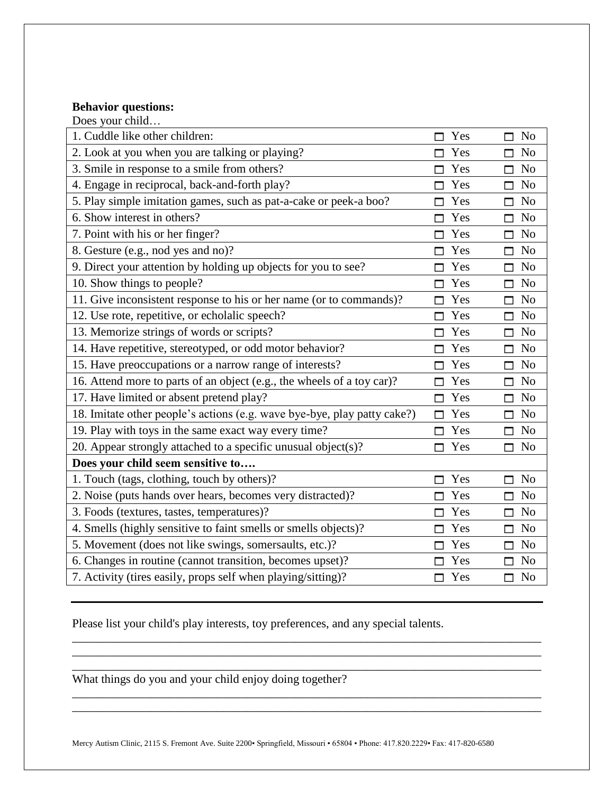# **Behavior questions:**

| Does your child                                                          |          |                          |
|--------------------------------------------------------------------------|----------|--------------------------|
| 1. Cuddle like other children:                                           | Yes      | N <sub>o</sub><br>М      |
| 2. Look at you when you are talking or playing?                          | Yes      | N <sub>o</sub><br>ш      |
| 3. Smile in response to a smile from others?                             | Yes      | N <sub>o</sub><br>П      |
| 4. Engage in reciprocal, back-and-forth play?                            | Yes<br>⊓ | N <sub>o</sub><br>П      |
| 5. Play simple imitation games, such as pat-a-cake or peek-a boo?        | Yes<br>⊓ | N <sub>o</sub><br>$\Box$ |
| 6. Show interest in others?                                              | Yes      | N <sub>o</sub><br>$\Box$ |
| 7. Point with his or her finger?                                         | Yes      | N <sub>o</sub><br>П      |
| 8. Gesture (e.g., nod yes and no)?                                       | Yes      | N <sub>o</sub><br>П      |
| 9. Direct your attention by holding up objects for you to see?           | Yes      | N <sub>o</sub><br>ш      |
| 10. Show things to people?                                               | Yes      | N <sub>o</sub><br>П      |
| 11. Give inconsistent response to his or her name (or to commands)?      | Yes<br>П | N <sub>o</sub><br>$\Box$ |
| 12. Use rote, repetitive, or echolalic speech?                           | Yes<br>⊓ | N <sub>o</sub><br>П      |
| 13. Memorize strings of words or scripts?                                | Yes      | N <sub>o</sub><br>П      |
| 14. Have repetitive, stereotyped, or odd motor behavior?                 | Yes      | N <sub>o</sub><br>$\Box$ |
| 15. Have preoccupations or a narrow range of interests?                  | Yes<br>П | N <sub>o</sub><br>П      |
| 16. Attend more to parts of an object (e.g., the wheels of a toy car)?   | Yes      | N <sub>o</sub><br>П      |
| 17. Have limited or absent pretend play?                                 | Yes<br>П | N <sub>o</sub><br>$\Box$ |
| 18. Imitate other people's actions (e.g. wave bye-bye, play patty cake?) | Yes<br>⊓ | N <sub>0</sub><br>п      |
| 19. Play with toys in the same exact way every time?                     | Yes<br>⊓ | N <sub>o</sub><br>П      |
| 20. Appear strongly attached to a specific unusual object(s)?            | Yes      | N <sub>o</sub><br>ш      |
| Does your child seem sensitive to                                        |          |                          |
| 1. Touch (tags, clothing, touch by others)?                              | Yes<br>М | N <sub>o</sub><br>ш      |
| 2. Noise (puts hands over hears, becomes very distracted)?               | Yes      | N <sub>o</sub><br>п      |
| 3. Foods (textures, tastes, temperatures)?                               | Yes      | N <sub>o</sub><br>П      |
| 4. Smells (highly sensitive to faint smells or smells objects)?          | Yes      | N <sub>0</sub><br>П      |
| 5. Movement (does not like swings, somersaults, etc.)?                   | Yes      | N <sub>o</sub><br>П      |
| 6. Changes in routine (cannot transition, becomes upset)?                | Yes      | N <sub>o</sub><br>П      |
| 7. Activity (tires easily, props self when playing/sitting)?             | Yes      | No<br>п                  |

Please list your child's play interests, toy preferences, and any special talents.

What things do you and your child enjoy doing together?

Mercy Autism Clinic, 2115 S. Fremont Ave. Suite 2200• Springfield, Missouri • 65804 • Phone: 417.820.2229• Fax: 417-820-6580

\_\_\_\_\_\_\_\_\_\_\_\_\_\_\_\_\_\_\_\_\_\_\_\_\_\_\_\_\_\_\_\_\_\_\_\_\_\_\_\_\_\_\_\_\_\_\_\_\_\_\_\_\_\_\_\_\_\_\_\_\_\_\_\_\_\_\_\_\_\_\_\_\_\_\_\_\_\_ \_\_\_\_\_\_\_\_\_\_\_\_\_\_\_\_\_\_\_\_\_\_\_\_\_\_\_\_\_\_\_\_\_\_\_\_\_\_\_\_\_\_\_\_\_\_\_\_\_\_\_\_\_\_\_\_\_\_\_\_\_\_\_\_\_\_\_\_\_\_\_\_\_\_\_\_\_\_ \_\_\_\_\_\_\_\_\_\_\_\_\_\_\_\_\_\_\_\_\_\_\_\_\_\_\_\_\_\_\_\_\_\_\_\_\_\_\_\_\_\_\_\_\_\_\_\_\_\_\_\_\_\_\_\_\_\_\_\_\_\_\_\_\_\_\_\_\_\_\_\_\_\_\_\_\_\_

\_\_\_\_\_\_\_\_\_\_\_\_\_\_\_\_\_\_\_\_\_\_\_\_\_\_\_\_\_\_\_\_\_\_\_\_\_\_\_\_\_\_\_\_\_\_\_\_\_\_\_\_\_\_\_\_\_\_\_\_\_\_\_\_\_\_\_\_\_\_\_\_\_\_\_\_\_\_ \_\_\_\_\_\_\_\_\_\_\_\_\_\_\_\_\_\_\_\_\_\_\_\_\_\_\_\_\_\_\_\_\_\_\_\_\_\_\_\_\_\_\_\_\_\_\_\_\_\_\_\_\_\_\_\_\_\_\_\_\_\_\_\_\_\_\_\_\_\_\_\_\_\_\_\_\_\_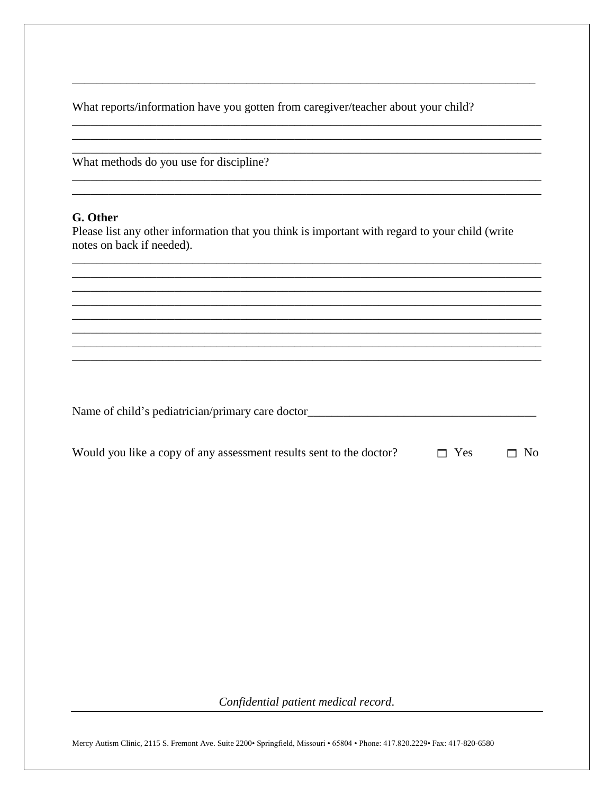What reports/information have you gotten from caregiver/teacher about your child?

What methods do you use for discipline?

## G. Other

Please list any other information that you think is important with regard to your child (write notes on back if needed).

| Would you like a copy of any assessment results sent to the doctor? | $\Box$ Yes | $\Box$ No |
|---------------------------------------------------------------------|------------|-----------|
|---------------------------------------------------------------------|------------|-----------|

Confidential patient medical record.

Mercy Autism Clinic, 2115 S. Fremont Ave. Suite 2200 · Springfield, Missouri · 65804 · Phone: 417.820.2229 · Fax: 417-820-6580